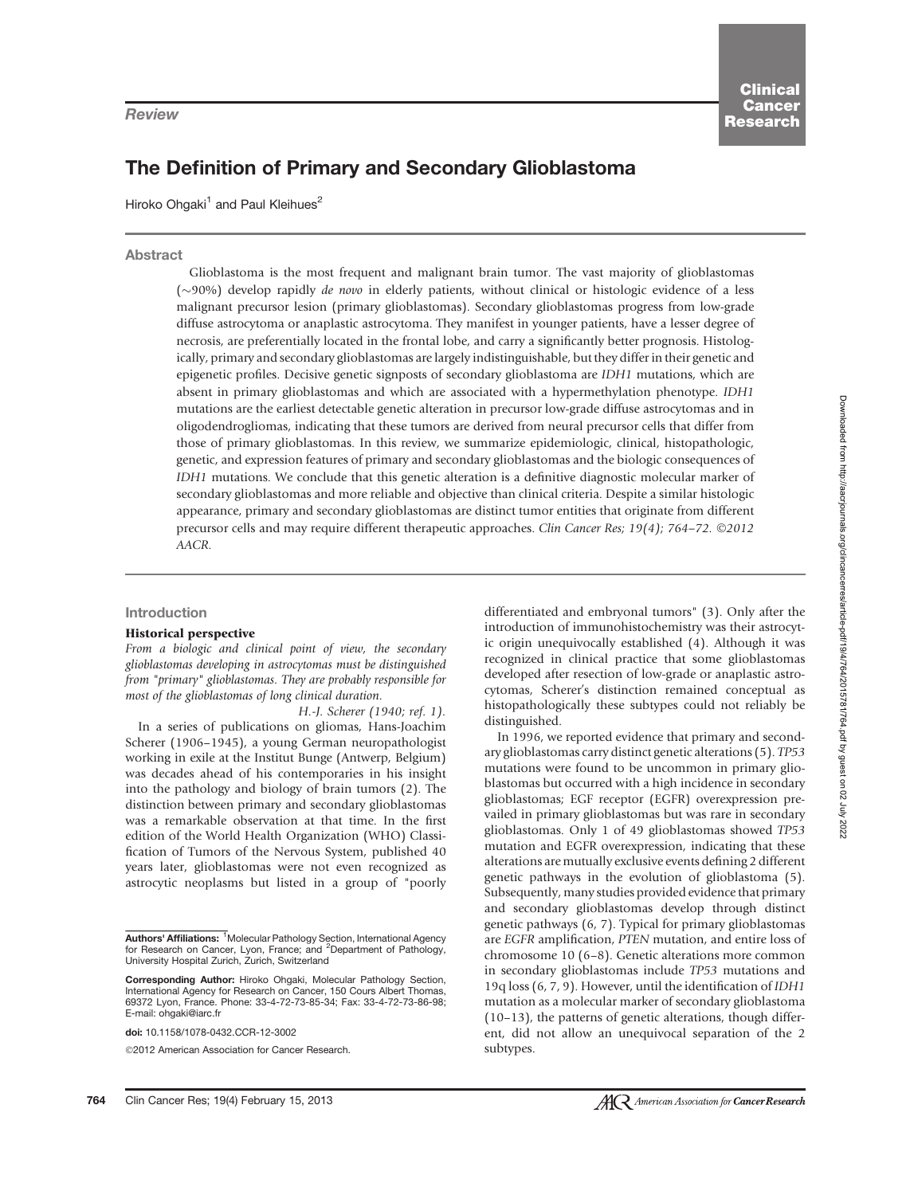# The Definition of Primary and Secondary Glioblastoma

Hiroko Ohgaki<sup>1</sup> and Paul Kleihues<sup>2</sup>

### Abstract

Glioblastoma is the most frequent and malignant brain tumor. The vast majority of glioblastomas  $(\sim)90\%$ ) develop rapidly *de novo* in elderly patients, without clinical or histologic evidence of a less malignant precursor lesion (primary glioblastomas). Secondary glioblastomas progress from low-grade diffuse astrocytoma or anaplastic astrocytoma. They manifest in younger patients, have a lesser degree of necrosis, are preferentially located in the frontal lobe, and carry a significantly better prognosis. Histologically, primary and secondary glioblastomas are largely indistinguishable, but they differ in their genetic and epigenetic profiles. Decisive genetic signposts of secondary glioblastoma are IDH1 mutations, which are absent in primary glioblastomas and which are associated with a hypermethylation phenotype. IDH1 mutations are the earliest detectable genetic alteration in precursor low-grade diffuse astrocytomas and in oligodendrogliomas, indicating that these tumors are derived from neural precursor cells that differ from those of primary glioblastomas. In this review, we summarize epidemiologic, clinical, histopathologic, genetic, and expression features of primary and secondary glioblastomas and the biologic consequences of IDH1 mutations. We conclude that this genetic alteration is a definitive diagnostic molecular marker of secondary glioblastomas and more reliable and objective than clinical criteria. Despite a similar histologic appearance, primary and secondary glioblastomas are distinct tumor entities that originate from different precursor cells and may require different therapeutic approaches. Clin Cancer Res; 19(4); 764-72. ©2012 AACR.

### Introduction

### Historical perspective

From a biologic and clinical point of view, the secondary glioblastomas developing in astrocytomas must be distinguished from "primary" glioblastomas. They are probably responsible for most of the glioblastomas of long clinical duration.

H.-J. Scherer (1940; ref. 1). In a series of publications on gliomas, Hans-Joachim Scherer (1906–1945), a young German neuropathologist working in exile at the Institut Bunge (Antwerp, Belgium) was decades ahead of his contemporaries in his insight into the pathology and biology of brain tumors (2). The distinction between primary and secondary glioblastomas was a remarkable observation at that time. In the first edition of the World Health Organization (WHO) Classification of Tumors of the Nervous System, published 40 years later, glioblastomas were not even recognized as astrocytic neoplasms but listed in a group of "poorly

doi: 10.1158/1078-0432.CCR-12-3002

2012 American Association for Cancer Research.

differentiated and embryonal tumors" (3). Only after the introduction of immunohistochemistry was their astrocytic origin unequivocally established (4). Although it was recognized in clinical practice that some glioblastomas developed after resection of low-grade or anaplastic astrocytomas, Scherer's distinction remained conceptual as histopathologically these subtypes could not reliably be distinguished.

In 1996, we reported evidence that primary and secondary glioblastomas carry distinct genetic alterations (5). TP53 mutations were found to be uncommon in primary glioblastomas but occurred with a high incidence in secondary glioblastomas; EGF receptor (EGFR) overexpression prevailed in primary glioblastomas but was rare in secondary glioblastomas. Only 1 of 49 glioblastomas showed TP53 mutation and EGFR overexpression, indicating that these alterations are mutually exclusive events defining 2 different genetic pathways in the evolution of glioblastoma (5). Subsequently, many studies provided evidence that primary and secondary glioblastomas develop through distinct genetic pathways (6, 7). Typical for primary glioblastomas are EGFR amplification, PTEN mutation, and entire loss of chromosome 10 (6–8). Genetic alterations more common in secondary glioblastomas include TP53 mutations and 19q loss (6, 7, 9). However, until the identification of IDH1 mutation as a molecular marker of secondary glioblastoma (10–13), the patterns of genetic alterations, though different, did not allow an unequivocal separation of the 2 subtypes.

Authors' Affiliations: <sup>1</sup>Molecular Pathology Section, International Agency for Research on Cancer, Lyon, France; and <sup>2</sup>Department of Pathology, University Hospital Zurich, Zurich, Switzerland

Corresponding Author: Hiroko Ohgaki, Molecular Pathology Section, International Agency for Research on Cancer, 150 Cours Albert Thomas, 69372 Lyon, France. Phone: 33-4-72-73-85-34; Fax: 33-4-72-73-86-98; E-mail: ohgaki@iarc.fr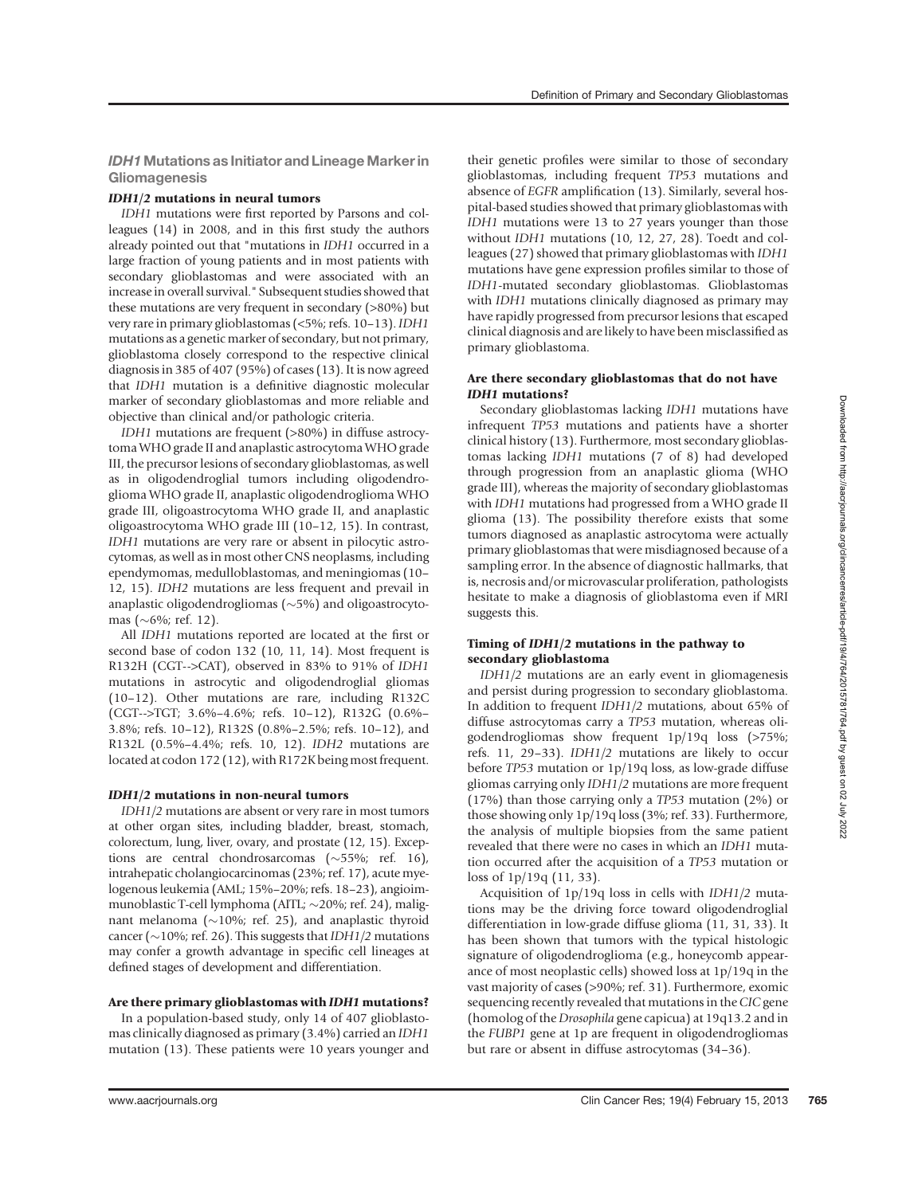IDH1 Mutations as Initiator and Lineage Marker in **Gliomagenesis** 

#### IDH1/2 mutations in neural tumors

IDH1 mutations were first reported by Parsons and colleagues (14) in 2008, and in this first study the authors already pointed out that "mutations in IDH1 occurred in a large fraction of young patients and in most patients with secondary glioblastomas and were associated with an increase in overall survival." Subsequent studies showed that these mutations are very frequent in secondary (>80%) but very rare in primary glioblastomas (<5%; refs. 10–13). IDH1 mutations as a genetic marker of secondary, but not primary, glioblastoma closely correspond to the respective clinical diagnosis in 385 of 407 (95%) of cases (13). It is now agreed that IDH1 mutation is a definitive diagnostic molecular marker of secondary glioblastomas and more reliable and objective than clinical and/or pathologic criteria.

IDH1 mutations are frequent (>80%) in diffuse astrocytoma WHO grade II and anaplastic astrocytoma WHO grade III, the precursor lesions of secondary glioblastomas, as well as in oligodendroglial tumors including oligodendroglioma WHO grade II, anaplastic oligodendroglioma WHO grade III, oligoastrocytoma WHO grade II, and anaplastic oligoastrocytoma WHO grade III (10–12, 15). In contrast, IDH1 mutations are very rare or absent in pilocytic astrocytomas, as well as in most other CNS neoplasms, including ependymomas, medulloblastomas, and meningiomas (10– 12, 15). IDH2 mutations are less frequent and prevail in anaplastic oligodendrogliomas  $(\sim 5\%)$  and oligoastrocytomas ( $\sim$ 6%; ref. 12).

All IDH1 mutations reported are located at the first or second base of codon 132 (10, 11, 14). Most frequent is R132H (CGT-->CAT), observed in 83% to 91% of IDH1 mutations in astrocytic and oligodendroglial gliomas (10–12). Other mutations are rare, including R132C (CGT-->TGT; 3.6%–4.6%; refs. 10–12), R132G (0.6%– 3.8%; refs. 10–12), R132S (0.8%–2.5%; refs. 10–12), and R132L (0.5%–4.4%; refs. 10, 12). IDH2 mutations are located at codon 172 (12), with R172K being most frequent.

#### IDH1/2 mutations in non-neural tumors

IDH1/2 mutations are absent or very rare in most tumors at other organ sites, including bladder, breast, stomach, colorectum, lung, liver, ovary, and prostate (12, 15). Exceptions are central chondrosarcomas  $(\sim 55\%;$  ref. 16), intrahepatic cholangiocarcinomas (23%; ref. 17), acute myelogenous leukemia (AML; 15%–20%; refs. 18–23), angioimmunoblastic T-cell lymphoma (AITL; ~20%; ref. 24), malignant melanoma ( $\sim$ 10%; ref. 25), and anaplastic thyroid cancer ( $\sim$ 10%; ref. 26). This suggests that IDH1/2 mutations may confer a growth advantage in specific cell lineages at defined stages of development and differentiation.

#### Are there primary glioblastomas with IDH1 mutations?

In a population-based study, only 14 of 407 glioblastomas clinically diagnosed as primary (3.4%) carried an IDH1 mutation (13). These patients were 10 years younger and their genetic profiles were similar to those of secondary glioblastomas, including frequent TP53 mutations and absence of EGFR amplification (13). Similarly, several hospital-based studies showed that primary glioblastomas with IDH1 mutations were 13 to 27 years younger than those without IDH1 mutations (10, 12, 27, 28). Toedt and colleagues (27) showed that primary glioblastomas with IDH1 mutations have gene expression profiles similar to those of IDH1-mutated secondary glioblastomas. Glioblastomas with IDH1 mutations clinically diagnosed as primary may have rapidly progressed from precursor lesions that escaped clinical diagnosis and are likely to have been misclassified as primary glioblastoma.

### Are there secondary glioblastomas that do not have IDH1 mutations?

Secondary glioblastomas lacking IDH1 mutations have infrequent TP53 mutations and patients have a shorter clinical history (13). Furthermore, most secondary glioblastomas lacking IDH1 mutations (7 of 8) had developed through progression from an anaplastic glioma (WHO grade III), whereas the majority of secondary glioblastomas with IDH1 mutations had progressed from a WHO grade II glioma (13). The possibility therefore exists that some tumors diagnosed as anaplastic astrocytoma were actually primary glioblastomas that were misdiagnosed because of a sampling error. In the absence of diagnostic hallmarks, that is, necrosis and/or microvascular proliferation, pathologists hesitate to make a diagnosis of glioblastoma even if MRI suggests this.

### Timing of IDH1/2 mutations in the pathway to secondary glioblastoma

IDH1/2 mutations are an early event in gliomagenesis and persist during progression to secondary glioblastoma. In addition to frequent IDH1/2 mutations, about 65% of diffuse astrocytomas carry a TP53 mutation, whereas oligodendrogliomas show frequent 1p/19q loss (>75%; refs. 11, 29–33). IDH1/2 mutations are likely to occur before TP53 mutation or 1p/19q loss, as low-grade diffuse gliomas carrying only IDH1/2 mutations are more frequent (17%) than those carrying only a TP53 mutation (2%) or those showing only 1p/19q loss (3%; ref. 33). Furthermore, the analysis of multiple biopsies from the same patient revealed that there were no cases in which an IDH1 mutation occurred after the acquisition of a TP53 mutation or loss of 1p/19q (11, 33).

Acquisition of 1p/19q loss in cells with IDH1/2 mutations may be the driving force toward oligodendroglial differentiation in low-grade diffuse glioma (11, 31, 33). It has been shown that tumors with the typical histologic signature of oligodendroglioma (e.g., honeycomb appearance of most neoplastic cells) showed loss at 1p/19q in the vast majority of cases (>90%; ref. 31). Furthermore, exomic sequencing recently revealed that mutations in the CIC gene (homolog of the Drosophila gene capicua) at 19q13.2 and in the FUBP1 gene at 1p are frequent in oligodendrogliomas but rare or absent in diffuse astrocytomas (34–36).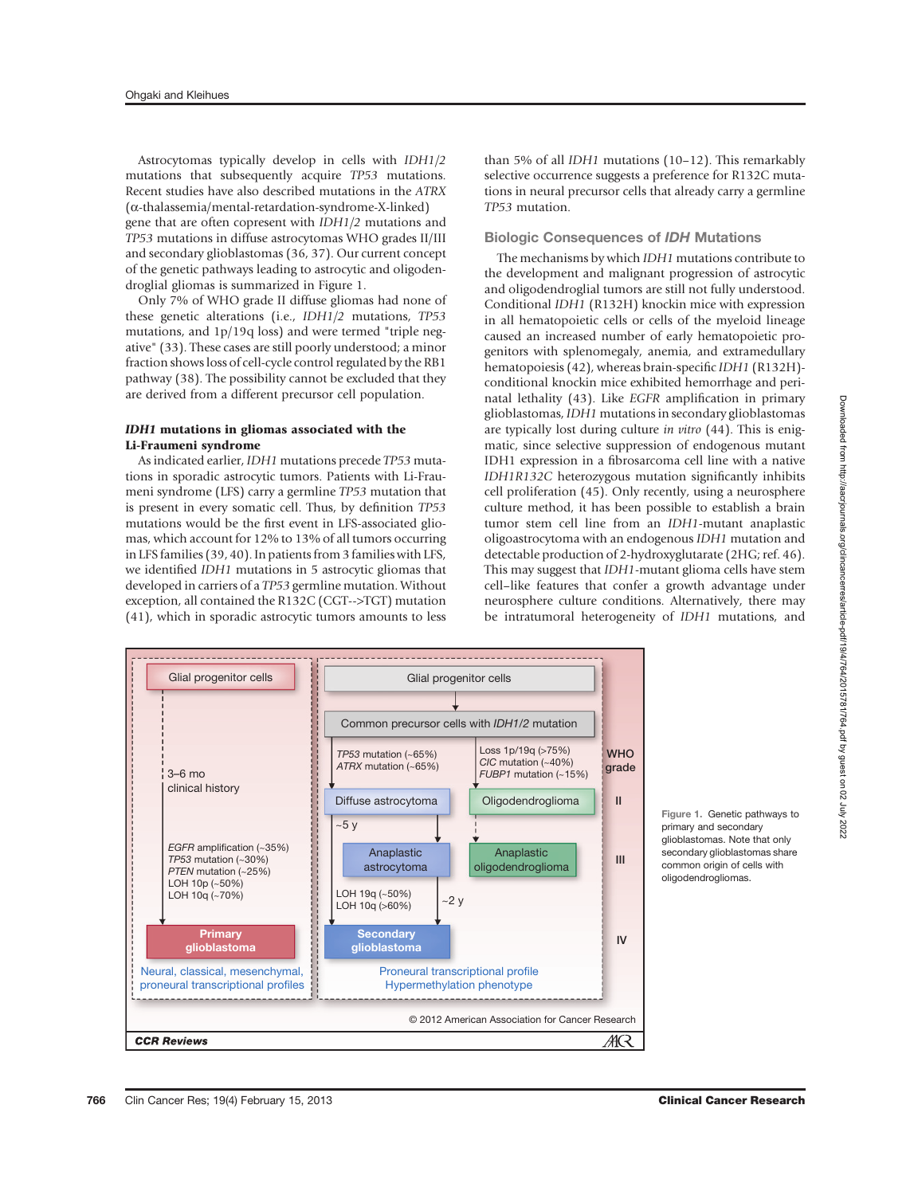Astrocytomas typically develop in cells with IDH1/2 mutations that subsequently acquire TP53 mutations. Recent studies have also described mutations in the ATRX (a-thalassemia/mental-retardation-syndrome-X-linked) gene that are often copresent with IDH1/2 mutations and TP53 mutations in diffuse astrocytomas WHO grades II/III and secondary glioblastomas (36, 37). Our current concept of the genetic pathways leading to astrocytic and oligodendroglial gliomas is summarized in Figure 1.

Only 7% of WHO grade II diffuse gliomas had none of these genetic alterations (i.e., IDH1/2 mutations, TP53 mutations, and 1p/19q loss) and were termed "triple negative" (33). These cases are still poorly understood; a minor fraction shows loss of cell-cycle control regulated by the RB1 pathway (38). The possibility cannot be excluded that they are derived from a different precursor cell population.

### IDH1 mutations in gliomas associated with the Li-Fraumeni syndrome

As indicated earlier, IDH1 mutations precede TP53 mutations in sporadic astrocytic tumors. Patients with Li-Fraumeni syndrome (LFS) carry a germline TP53 mutation that is present in every somatic cell. Thus, by definition TP53 mutations would be the first event in LFS-associated gliomas, which account for 12% to 13% of all tumors occurring in LFS families (39, 40). In patients from 3 families with LFS, we identified IDH1 mutations in 5 astrocytic gliomas that developed in carriers of a TP53 germline mutation. Without exception, all contained the R132C (CGT-->TGT) mutation (41), which in sporadic astrocytic tumors amounts to less

than 5% of all IDH1 mutations (10–12). This remarkably selective occurrence suggests a preference for R132C mutations in neural precursor cells that already carry a germline TP53 mutation.

### Biologic Consequences of IDH Mutations

The mechanisms by which IDH1 mutations contribute to the development and malignant progression of astrocytic and oligodendroglial tumors are still not fully understood. Conditional IDH1 (R132H) knockin mice with expression in all hematopoietic cells or cells of the myeloid lineage caused an increased number of early hematopoietic progenitors with splenomegaly, anemia, and extramedullary hematopoiesis (42), whereas brain-specific IDH1 (R132H) conditional knockin mice exhibited hemorrhage and perinatal lethality (43). Like EGFR amplification in primary glioblastomas, IDH1 mutations in secondary glioblastomas are typically lost during culture in vitro (44). This is enigmatic, since selective suppression of endogenous mutant IDH1 expression in a fibrosarcoma cell line with a native IDH1R132C heterozygous mutation significantly inhibits cell proliferation (45). Only recently, using a neurosphere culture method, it has been possible to establish a brain tumor stem cell line from an IDH1-mutant anaplastic oligoastrocytoma with an endogenous IDH1 mutation and detectable production of 2-hydroxyglutarate (2HG; ref. 46). This may suggest that IDH1-mutant glioma cells have stem cell–like features that confer a growth advantage under neurosphere culture conditions. Alternatively, there may be intratumoral heterogeneity of IDH1 mutations, and



Figure 1. Genetic pathways to primary and secondary glioblastomas. Note that only secondary glioblastomas share common origin of cells with oligodendrogliomas.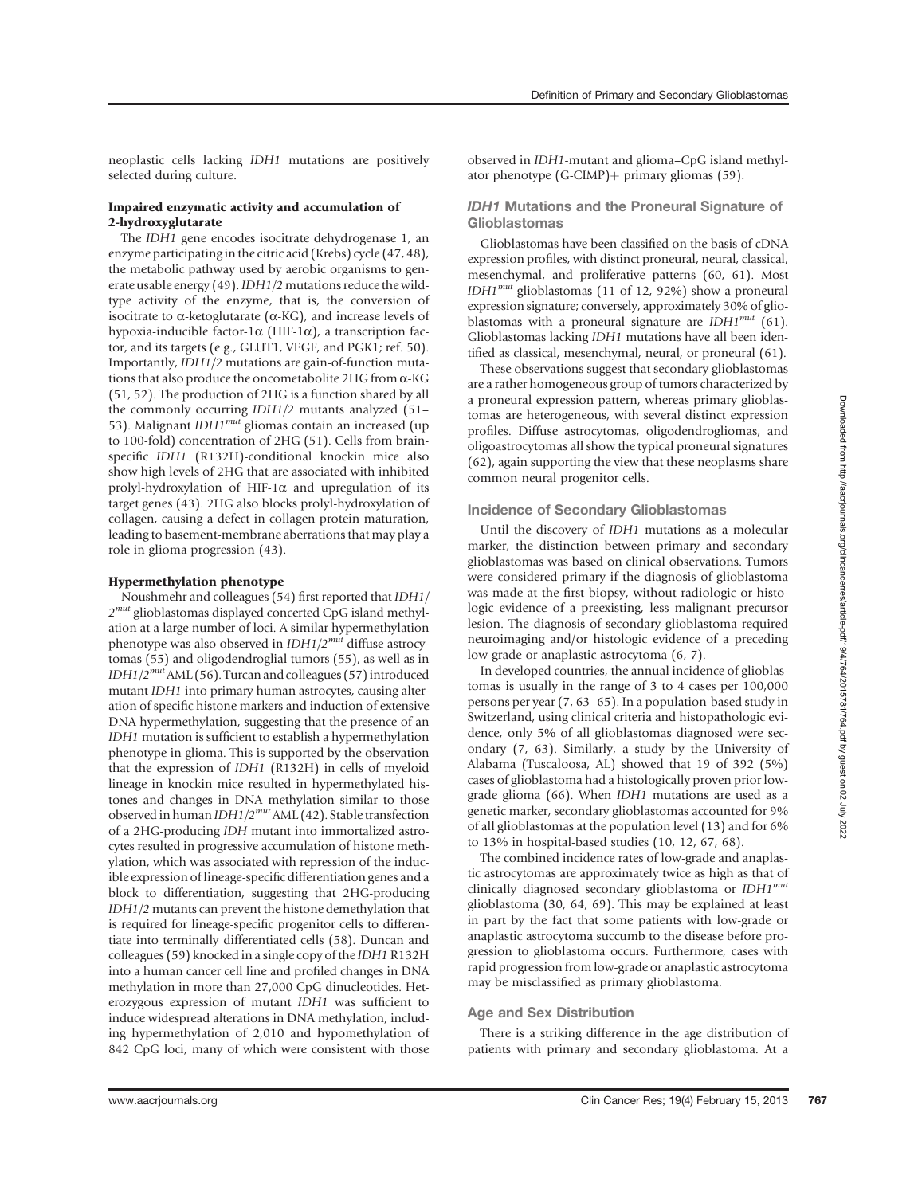neoplastic cells lacking IDH1 mutations are positively selected during culture.

### Impaired enzymatic activity and accumulation of 2-hydroxyglutarate

The IDH1 gene encodes isocitrate dehydrogenase 1, an enzyme participating in the citric acid (Krebs) cycle (47, 48), the metabolic pathway used by aerobic organisms to generate usable energy (49).IDH1/2 mutations reduce the wildtype activity of the enzyme, that is, the conversion of isocitrate to  $\alpha$ -ketoglutarate ( $\alpha$ -KG), and increase levels of hypoxia-inducible factor-1 $\alpha$  (HIF-1 $\alpha$ ), a transcription factor, and its targets (e.g., GLUT1, VEGF, and PGK1; ref. 50). Importantly, IDH1/2 mutations are gain-of-function mutations that also produce the oncometabolite 2HG from a-KG (51, 52). The production of 2HG is a function shared by all the commonly occurring IDH1/2 mutants analyzed (51– 53). Malignant  $IDH1^{mut}$  gliomas contain an increased (up to 100-fold) concentration of 2HG (51). Cells from brainspecific IDH1 (R132H)-conditional knockin mice also show high levels of 2HG that are associated with inhibited prolyl-hydroxylation of HIF-1 $\alpha$  and upregulation of its target genes (43). 2HG also blocks prolyl-hydroxylation of collagen, causing a defect in collagen protein maturation, leading to basement-membrane aberrations that may play a role in glioma progression (43).

### Hypermethylation phenotype

Noushmehr and colleagues (54) first reported that IDH1/  $2^{mut}$  glioblastomas displayed concerted CpG island methylation at a large number of loci. A similar hypermethylation phenotype was also observed in  $IDH1/2^{mut}$  diffuse astrocytomas (55) and oligodendroglial tumors (55), as well as in IDH1/2<sup>mut</sup>AML (56). Turcan and colleagues (57) introduced mutant IDH1 into primary human astrocytes, causing alteration of specific histone markers and induction of extensive DNA hypermethylation, suggesting that the presence of an IDH1 mutation is sufficient to establish a hypermethylation phenotype in glioma. This is supported by the observation that the expression of IDH1 (R132H) in cells of myeloid lineage in knockin mice resulted in hypermethylated histones and changes in DNA methylation similar to those observed in human  $IDH1/2^{mut}$  AML (42). Stable transfection of a 2HG-producing IDH mutant into immortalized astrocytes resulted in progressive accumulation of histone methylation, which was associated with repression of the inducible expression of lineage-specific differentiation genes and a block to differentiation, suggesting that 2HG-producing IDH1/2 mutants can prevent the histone demethylation that is required for lineage-specific progenitor cells to differentiate into terminally differentiated cells (58). Duncan and colleagues (59) knocked in a single copy of the IDH1 R132H into a human cancer cell line and profiled changes in DNA methylation in more than 27,000 CpG dinucleotides. Heterozygous expression of mutant IDH1 was sufficient to induce widespread alterations in DNA methylation, including hypermethylation of 2,010 and hypomethylation of 842 CpG loci, many of which were consistent with those

observed in IDH1-mutant and glioma–CpG island methylator phenotype  $(G\text{-CIMP})$  primary gliomas (59).

### IDH1 Mutations and the Proneural Signature of Glioblastomas

Glioblastomas have been classified on the basis of cDNA expression profiles, with distinct proneural, neural, classical, mesenchymal, and proliferative patterns (60, 61). Most IDH1mut glioblastomas (11 of 12, 92%) show a proneural expression signature; conversely, approximately 30% of glioblastomas with a proneural signature are  $IDH1^{mut}$  (61). Glioblastomas lacking IDH1 mutations have all been identified as classical, mesenchymal, neural, or proneural (61).

These observations suggest that secondary glioblastomas are a rather homogeneous group of tumors characterized by a proneural expression pattern, whereas primary glioblastomas are heterogeneous, with several distinct expression profiles. Diffuse astrocytomas, oligodendrogliomas, and oligoastrocytomas all show the typical proneural signatures (62), again supporting the view that these neoplasms share common neural progenitor cells.

#### Incidence of Secondary Glioblastomas

Until the discovery of IDH1 mutations as a molecular marker, the distinction between primary and secondary glioblastomas was based on clinical observations. Tumors were considered primary if the diagnosis of glioblastoma was made at the first biopsy, without radiologic or histologic evidence of a preexisting, less malignant precursor lesion. The diagnosis of secondary glioblastoma required neuroimaging and/or histologic evidence of a preceding low-grade or anaplastic astrocytoma (6, 7).

In developed countries, the annual incidence of glioblastomas is usually in the range of 3 to 4 cases per 100,000 persons per year (7, 63–65). In a population-based study in Switzerland, using clinical criteria and histopathologic evidence, only 5% of all glioblastomas diagnosed were secondary (7, 63). Similarly, a study by the University of Alabama (Tuscaloosa, AL) showed that 19 of 392 (5%) cases of glioblastoma had a histologically proven prior lowgrade glioma (66). When IDH1 mutations are used as a genetic marker, secondary glioblastomas accounted for 9% of all glioblastomas at the population level (13) and for 6% to 13% in hospital-based studies (10, 12, 67, 68).

The combined incidence rates of low-grade and anaplastic astrocytomas are approximately twice as high as that of clinically diagnosed secondary glioblastoma or  $IDH1^{mut}$ glioblastoma (30, 64, 69). This may be explained at least in part by the fact that some patients with low-grade or anaplastic astrocytoma succumb to the disease before progression to glioblastoma occurs. Furthermore, cases with rapid progression from low-grade or anaplastic astrocytoma may be misclassified as primary glioblastoma.

### Age and Sex Distribution

There is a striking difference in the age distribution of patients with primary and secondary glioblastoma. At a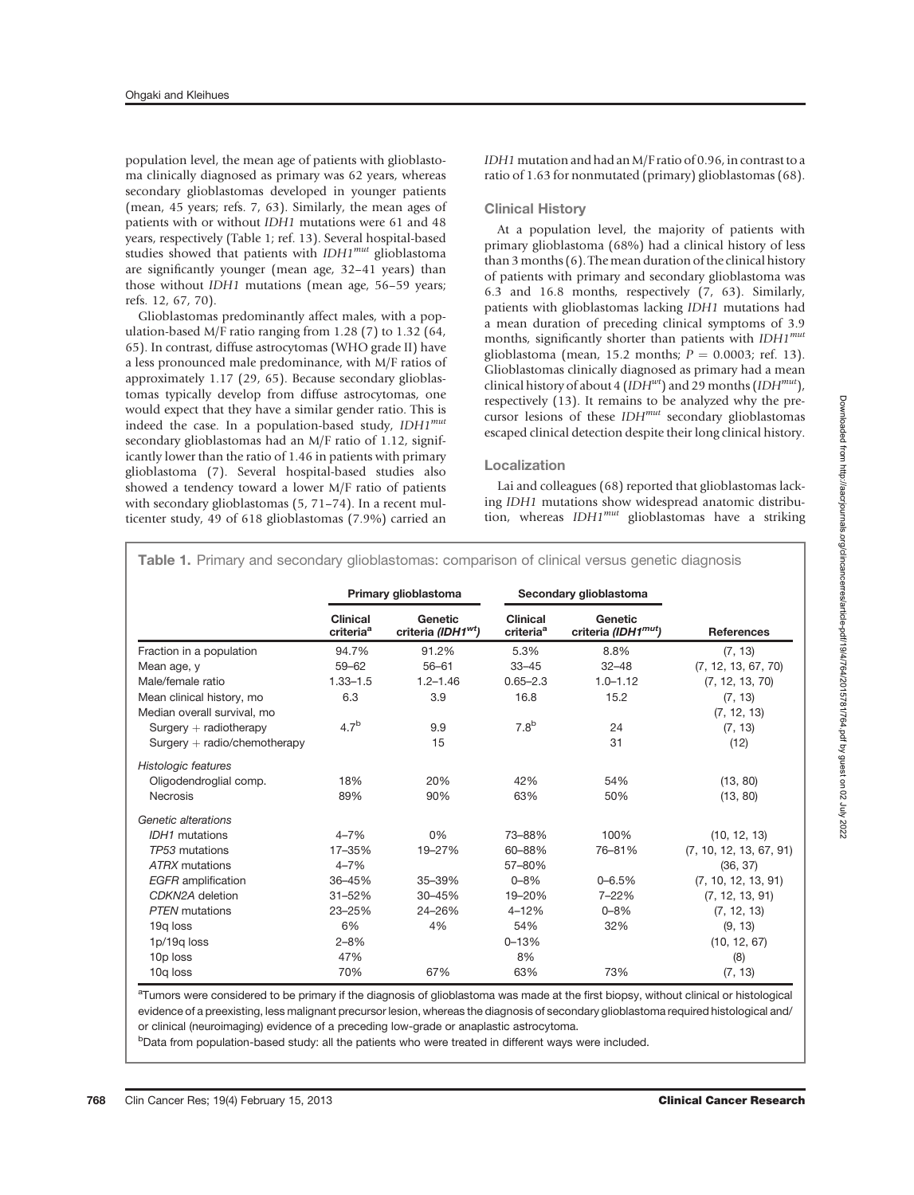population level, the mean age of patients with glioblastoma clinically diagnosed as primary was 62 years, whereas secondary glioblastomas developed in younger patients (mean, 45 years; refs. 7, 63). Similarly, the mean ages of patients with or without IDH1 mutations were 61 and 48 years, respectively (Table 1; ref. 13). Several hospital-based studies showed that patients with  $IDH1^{mut}$  glioblastoma are significantly younger (mean age, 32–41 years) than those without IDH1 mutations (mean age, 56–59 years; refs. 12, 67, 70).

Glioblastomas predominantly affect males, with a population-based M/F ratio ranging from 1.28 (7) to 1.32 (64, 65). In contrast, diffuse astrocytomas (WHO grade II) have a less pronounced male predominance, with M/F ratios of approximately 1.17 (29, 65). Because secondary glioblastomas typically develop from diffuse astrocytomas, one would expect that they have a similar gender ratio. This is indeed the case. In a population-based study, IDH1<sup>mut</sup> secondary glioblastomas had an M/F ratio of 1.12, significantly lower than the ratio of 1.46 in patients with primary glioblastoma (7). Several hospital-based studies also showed a tendency toward a lower M/F ratio of patients with secondary glioblastomas (5, 71–74). In a recent multicenter study, 49 of 618 glioblastomas (7.9%) carried an

### Clinical History

At a population level, the majority of patients with primary glioblastoma (68%) had a clinical history of less than 3 months (6). The mean duration of the clinical history of patients with primary and secondary glioblastoma was 6.3 and 16.8 months, respectively (7, 63). Similarly, patients with glioblastomas lacking IDH1 mutations had a mean duration of preceding clinical symptoms of 3.9 months, significantly shorter than patients with  $IDH1^{mut}$ glioblastoma (mean, 15.2 months;  $P = 0.0003$ ; ref. 13). Glioblastomas clinically diagnosed as primary had a mean clinical history of about 4 (IDH<sup>wt</sup>) and 29 months (IDH<sup>mut</sup>), respectively (13). It remains to be analyzed why the precursor lesions of these  $IDH^{mut}$  secondary glioblastomas escaped clinical detection despite their long clinical history.

### Localization

Lai and colleagues (68) reported that glioblastomas lacking IDH1 mutations show widespread anatomic distribution, whereas  $IDH1^{mut}$  glioblastomas have a striking

|                                                          | Primary glioblastoma                     |                                           | Secondary glioblastoma                   |                                            |                         |
|----------------------------------------------------------|------------------------------------------|-------------------------------------------|------------------------------------------|--------------------------------------------|-------------------------|
|                                                          | <b>Clinical</b><br>criteria <sup>a</sup> | Genetic<br>criteria (IDH1 <sup>wt</sup> ) | <b>Clinical</b><br>criteria <sup>a</sup> | Genetic<br>criteria (IDH1 <sup>mut</sup> ) | <b>References</b>       |
| Fraction in a population                                 | 94.7%                                    | 91.2%                                     | 5.3%                                     | 8.8%                                       | (7, 13)                 |
| Mean age, y                                              | $59 - 62$                                | $56 - 61$                                 | $33 - 45$                                | $32 - 48$                                  | (7, 12, 13, 67, 70)     |
| Male/female ratio                                        | $1.33 - 1.5$                             | $1.2 - 1.46$                              | $0.65 - 2.3$                             | $1.0 - 1.12$                               | (7, 12, 13, 70)         |
| Mean clinical history, mo<br>Median overall survival, mo | 6.3                                      | 3.9                                       | 16.8                                     | 15.2                                       | (7, 13)<br>(7, 12, 13)  |
| $Surgery + radiotherapy$                                 | 4.7 <sup>b</sup>                         | 9.9                                       | 7.8 <sup>b</sup>                         | 24                                         | (7, 13)                 |
| $Surgery + radio/chemotherapy$                           |                                          | 15                                        |                                          | 31                                         | (12)                    |
| Histologic features                                      |                                          |                                           |                                          |                                            |                         |
| Oligodendroglial comp.                                   | 18%                                      | 20%                                       | 42%                                      | 54%                                        | (13, 80)                |
| <b>Necrosis</b>                                          | 89%                                      | 90%                                       | 63%                                      | 50%                                        | (13, 80)                |
| Genetic alterations                                      |                                          |                                           |                                          |                                            |                         |
| IDH1 mutations                                           | $4 - 7%$                                 | 0%                                        | 73-88%                                   | 100%                                       | (10, 12, 13)            |
| TP53 mutations                                           | 17-35%                                   | 19-27%                                    | 60-88%                                   | 76-81%                                     | (7, 10, 12, 13, 67, 91) |
| <b>ATRX</b> mutations                                    | $4 - 7%$                                 |                                           | 57-80%                                   |                                            | (36, 37)                |
| <b>EGFR</b> amplification                                | 36-45%                                   | 35-39%                                    | $0 - 8%$                                 | $0 - 6.5%$                                 | (7, 10, 12, 13, 91)     |
| CDKN2A deletion                                          | $31 - 52%$                               | 30-45%                                    | 19-20%                                   | 7-22%                                      | (7, 12, 13, 91)         |
| <b>PTEN</b> mutations                                    | 23-25%                                   | 24-26%                                    | $4 - 12%$                                | $0 - 8%$                                   | (7, 12, 13)             |
| 19g loss                                                 | 6%                                       | 4%                                        | 54%                                      | 32%                                        | (9, 13)                 |
| 1p/19g loss                                              | $2 - 8%$                                 |                                           | $0 - 13%$                                |                                            | (10, 12, 67)            |
| 10p loss                                                 | 47%                                      |                                           | 8%                                       |                                            | (8)                     |
| 10g loss                                                 | 70%                                      | 67%                                       | 63%                                      | 73%                                        | (7, 13)                 |

Table 1. Primary and secondary glioblastomas: comparison of clinical versus genetic diagnosis

<sup>a</sup>Tumors were considered to be primary if the diagnosis of glioblastoma was made at the first biopsy, without clinical or histological evidence of a preexisting, less malignant precursor lesion, whereas the diagnosis of secondary glioblastoma required histological and/ or clinical (neuroimaging) evidence of a preceding low-grade or anaplastic astrocytoma.

<sup>b</sup>Data from population-based study: all the patients who were treated in different ways were included.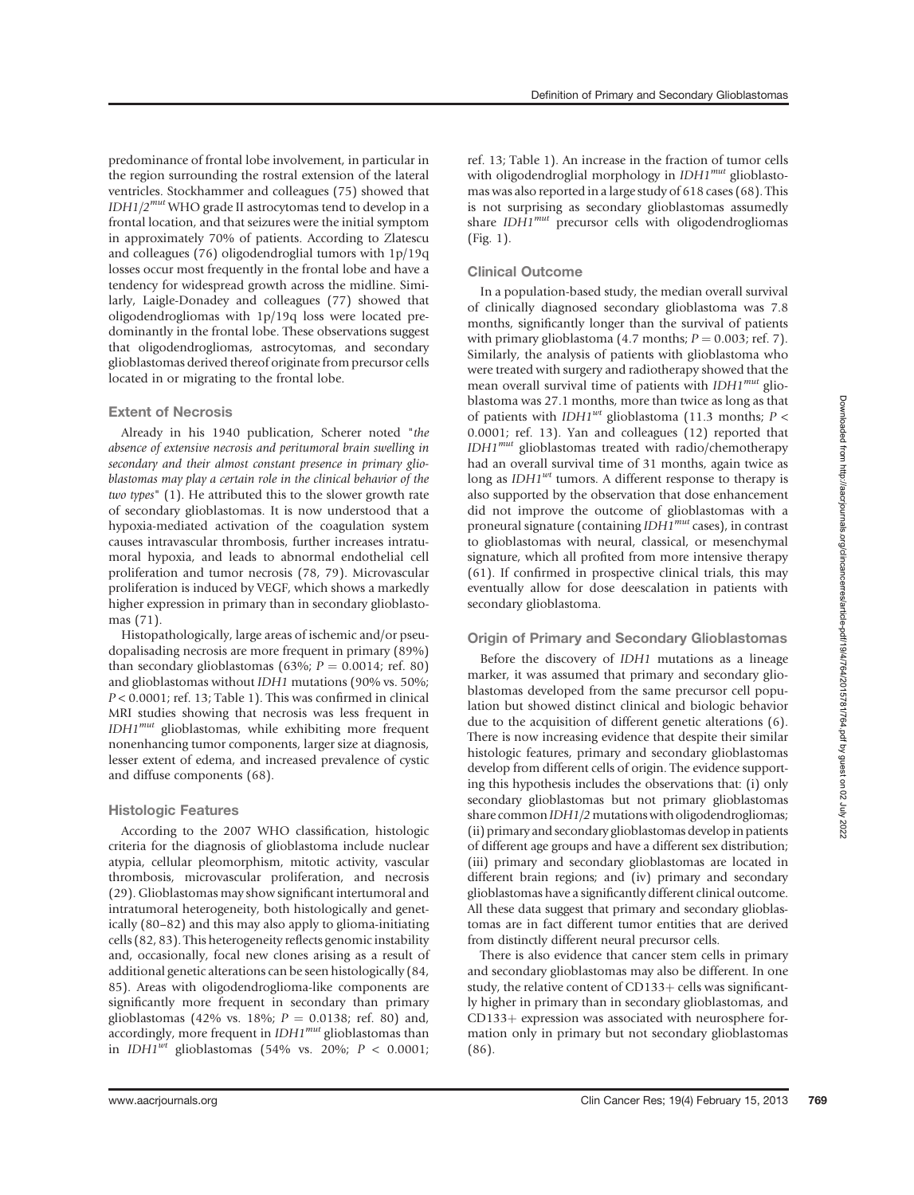Definition of Primary and Secondary Glioblastomas

predominance of frontal lobe involvement, in particular in the region surrounding the rostral extension of the lateral ventricles. Stockhammer and colleagues (75) showed that  $IDH1/2^{mut}$  WHO grade II astrocytomas tend to develop in a frontal location, and that seizures were the initial symptom in approximately 70% of patients. According to Zlatescu and colleagues (76) oligodendroglial tumors with 1p/19q losses occur most frequently in the frontal lobe and have a tendency for widespread growth across the midline. Similarly, Laigle-Donadey and colleagues (77) showed that oligodendrogliomas with 1p/19q loss were located predominantly in the frontal lobe. These observations suggest that oligodendrogliomas, astrocytomas, and secondary glioblastomas derived thereof originate from precursor cells located in or migrating to the frontal lobe.

### Extent of Necrosis

Already in his 1940 publication, Scherer noted "the absence of extensive necrosis and peritumoral brain swelling in secondary and their almost constant presence in primary glioblastomas may play a certain role in the clinical behavior of the two types" (1). He attributed this to the slower growth rate of secondary glioblastomas. It is now understood that a hypoxia-mediated activation of the coagulation system causes intravascular thrombosis, further increases intratumoral hypoxia, and leads to abnormal endothelial cell proliferation and tumor necrosis (78, 79). Microvascular proliferation is induced by VEGF, which shows a markedly higher expression in primary than in secondary glioblastomas (71).

Histopathologically, large areas of ischemic and/or pseudopalisading necrosis are more frequent in primary (89%) than secondary glioblastomas (63%;  $P = 0.0014$ ; ref. 80) and glioblastomas without IDH1 mutations (90% vs. 50%;  $P < 0.0001$ ; ref. 13; Table 1). This was confirmed in clinical MRI studies showing that necrosis was less frequent in  $IDH1<sup>mut</sup>$  glioblastomas, while exhibiting more frequent nonenhancing tumor components, larger size at diagnosis, lesser extent of edema, and increased prevalence of cystic and diffuse components (68).

### Histologic Features

According to the 2007 WHO classification, histologic criteria for the diagnosis of glioblastoma include nuclear atypia, cellular pleomorphism, mitotic activity, vascular thrombosis, microvascular proliferation, and necrosis (29). Glioblastomas may show significant intertumoral and intratumoral heterogeneity, both histologically and genetically (80–82) and this may also apply to glioma-initiating cells (82, 83). This heterogeneity reflects genomic instability and, occasionally, focal new clones arising as a result of additional genetic alterations can be seen histologically (84, 85). Areas with oligodendroglioma-like components are significantly more frequent in secondary than primary glioblastomas (42% vs. 18%;  $P = 0.0138$ ; ref. 80) and, accordingly, more frequent in  $IDH1^{mut}$  glioblastomas than in  $IDH1<sup>wt</sup>$  glioblastomas (54% vs. 20%;  $P < 0.0001$ ; ref. 13; Table 1). An increase in the fraction of tumor cells with oligodendroglial morphology in  $IDH1^{mut}$  glioblastomas was also reported in a large study of 618 cases (68). This is not surprising as secondary glioblastomas assumedly share  $IDH1^{mut}$  precursor cells with oligodendrogliomas (Fig. 1).

### Clinical Outcome

In a population-based study, the median overall survival of clinically diagnosed secondary glioblastoma was 7.8 months, significantly longer than the survival of patients with primary glioblastoma (4.7 months;  $P = 0.003$ ; ref. 7). Similarly, the analysis of patients with glioblastoma who were treated with surgery and radiotherapy showed that the mean overall survival time of patients with IDH1<sup>mut</sup> glioblastoma was 27.1 months, more than twice as long as that of patients with IDH1<sup>wt</sup> glioblastoma (11.3 months;  $P <$ 0.0001; ref. 13). Yan and colleagues (12) reported that IDH1<sup>mut</sup> glioblastomas treated with radio/chemotherapy had an overall survival time of 31 months, again twice as long as  $IDH1<sup>wt</sup>$  tumors. A different response to therapy is also supported by the observation that dose enhancement did not improve the outcome of glioblastomas with a proneural signature (containing IDH1<sup>mut</sup> cases), in contrast to glioblastomas with neural, classical, or mesenchymal signature, which all profited from more intensive therapy (61). If confirmed in prospective clinical trials, this may eventually allow for dose deescalation in patients with secondary glioblastoma.

### Origin of Primary and Secondary Glioblastomas

Before the discovery of IDH1 mutations as a lineage marker, it was assumed that primary and secondary glioblastomas developed from the same precursor cell population but showed distinct clinical and biologic behavior due to the acquisition of different genetic alterations (6). There is now increasing evidence that despite their similar histologic features, primary and secondary glioblastomas develop from different cells of origin. The evidence supporting this hypothesis includes the observations that: (i) only secondary glioblastomas but not primary glioblastomas share common IDH1/2 mutations with oligodendrogliomas; (ii) primary and secondary glioblastomas develop in patients of different age groups and have a different sex distribution; (iii) primary and secondary glioblastomas are located in different brain regions; and (iv) primary and secondary glioblastomas have a significantly different clinical outcome. All these data suggest that primary and secondary glioblastomas are in fact different tumor entities that are derived from distinctly different neural precursor cells.

There is also evidence that cancer stem cells in primary and secondary glioblastomas may also be different. In one study, the relative content of  $CD133+$  cells was significantly higher in primary than in secondary glioblastomas, and  $CD133+$  expression was associated with neurosphere formation only in primary but not secondary glioblastomas (86).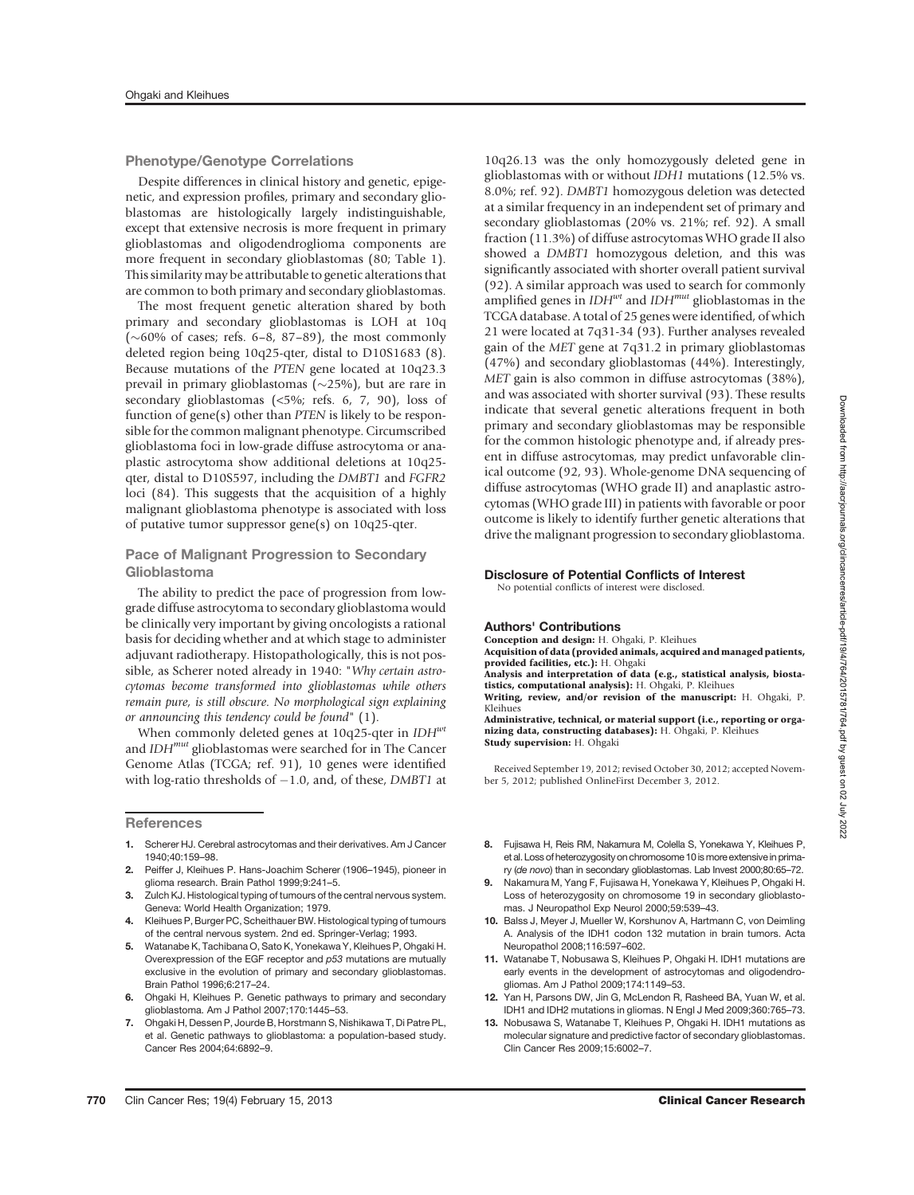### Phenotype/Genotype Correlations

Despite differences in clinical history and genetic, epigenetic, and expression profiles, primary and secondary glioblastomas are histologically largely indistinguishable, except that extensive necrosis is more frequent in primary glioblastomas and oligodendroglioma components are more frequent in secondary glioblastomas (80; Table 1). This similarity may be attributable to genetic alterations that are common to both primary and secondary glioblastomas.

The most frequent genetic alteration shared by both primary and secondary glioblastomas is LOH at 10q  $(\sim 60\%$  of cases; refs. 6–8, 87–89), the most commonly deleted region being 10q25-qter, distal to D10S1683 (8). Because mutations of the PTEN gene located at 10q23.3 prevail in primary glioblastomas ( $\sim$ 25%), but are rare in secondary glioblastomas (<5%; refs. 6, 7, 90), loss of function of gene(s) other than PTEN is likely to be responsible for the common malignant phenotype. Circumscribed glioblastoma foci in low-grade diffuse astrocytoma or anaplastic astrocytoma show additional deletions at 10q25 qter, distal to D10S597, including the DMBT1 and FGFR2 loci (84). This suggests that the acquisition of a highly malignant glioblastoma phenotype is associated with loss of putative tumor suppressor gene(s) on 10q25-qter.

### Pace of Malignant Progression to Secondary Glioblastoma

The ability to predict the pace of progression from lowgrade diffuse astrocytoma to secondary glioblastoma would be clinically very important by giving oncologists a rational basis for deciding whether and at which stage to administer adjuvant radiotherapy. Histopathologically, this is not possible, as Scherer noted already in 1940: "Why certain astrocytomas become transformed into glioblastomas while others remain pure, is still obscure. No morphological sign explaining or announcing this tendency could be found" (1).

When commonly deleted genes at 10q25-qter in  $IDH<sup>wt</sup>$ and  $IDH^{mut}$  glioblastomas were searched for in The Cancer Genome Atlas (TCGA; ref. 91), 10 genes were identified with log-ratio thresholds of  $-1.0$ , and, of these, DMBT1 at

**References** 

- 1. Scherer HJ. Cerebral astrocytomas and their derivatives. Am J Cancer 1940;40:159–98.
- 2. Peiffer J, Kleihues P. Hans-Joachim Scherer (1906–1945), pioneer in glioma research. Brain Pathol 1999;9:241–5.
- 3. Zulch KJ. Histological typing of tumours of the central nervous system. Geneva: World Health Organization; 1979.
- 4. Kleihues P, Burger PC, Scheithauer BW. Histological typing of tumours of the central nervous system. 2nd ed. Springer-Verlag; 1993.
- 5. Watanabe K, Tachibana O, Sato K, Yonekawa Y, Kleihues P, Ohgaki H. Overexpression of the EGF receptor and p53 mutations are mutually exclusive in the evolution of primary and secondary glioblastomas. Brain Pathol 1996;6:217–24.
- 6. Ohgaki H. Kleihues P. Genetic pathways to primary and secondary glioblastoma. Am J Pathol 2007;170:1445–53.
- 7. Ohgaki H, Dessen P, Jourde B, Horstmann S, Nishikawa T, Di Patre PL, et al. Genetic pathways to glioblastoma: a population-based study. Cancer Res 2004;64:6892–9.

10q26.13 was the only homozygously deleted gene in glioblastomas with or without IDH1 mutations (12.5% vs. 8.0%; ref. 92). DMBT1 homozygous deletion was detected at a similar frequency in an independent set of primary and secondary glioblastomas (20% vs. 21%; ref. 92). A small fraction (11.3%) of diffuse astrocytomas WHO grade II also showed a DMBT1 homozygous deletion, and this was significantly associated with shorter overall patient survival (92). A similar approach was used to search for commonly amplified genes in  $IDH^{wt}$  and  $IDH^{mut}$  glioblastomas in the TCGA database. A total of 25 genes were identified, of which 21 were located at 7q31-34 (93). Further analyses revealed gain of the MET gene at 7q31.2 in primary glioblastomas (47%) and secondary glioblastomas (44%). Interestingly, MET gain is also common in diffuse astrocytomas (38%), and was associated with shorter survival (93). These results indicate that several genetic alterations frequent in both primary and secondary glioblastomas may be responsible for the common histologic phenotype and, if already present in diffuse astrocytomas, may predict unfavorable clinical outcome (92, 93). Whole-genome DNA sequencing of diffuse astrocytomas (WHO grade II) and anaplastic astrocytomas (WHO grade III) in patients with favorable or poor outcome is likely to identify further genetic alterations that drive the malignant progression to secondary glioblastoma.

### Disclosure of Potential Conflicts of Interest

## No potential conflicts of interest were disclosed.

#### Authors' Contributions

Conception and design: H. Ohgaki, P. Kleihues

Acquisition of data (provided animals, acquired and managed patients, provided facilities, etc.): H. Ohgaki

Analysis and interpretation of data (e.g., statistical analysis, biostatistics, computational analysis): H. Ohgaki, P. Kleihues

Writing, review, and/or revision of the manuscript: H. Ohgaki, P. Kleihues

Administrative, technical, or material support (i.e., reporting or organizing data, constructing databases): H. Ohgaki, P. Kleihues Study supervision: H. Ohgaki

Received September 19, 2012; revised October 30, 2012; accepted November 5, 2012; published OnlineFirst December 3, 2012.

- 8. Fujisawa H, Reis RM, Nakamura M, Colella S, Yonekawa Y, Kleihues P, et al. Loss of heterozygosity on chromosome 10 is more extensive in primary (de novo) than in secondary glioblastomas. Lab Invest 2000;80:65–72.
- 9. Nakamura M, Yang F, Fujisawa H, Yonekawa Y, Kleihues P, Ohgaki H. Loss of heterozygosity on chromosome 19 in secondary glioblastomas. J Neuropathol Exp Neurol 2000;59:539–43.
- 10. Balss J, Meyer J, Mueller W, Korshunov A, Hartmann C, von Deimling A. Analysis of the IDH1 codon 132 mutation in brain tumors. Acta Neuropathol 2008;116:597–602.
- 11. Watanabe T, Nobusawa S, Kleihues P, Ohgaki H. IDH1 mutations are early events in the development of astrocytomas and oligodendrogliomas. Am J Pathol 2009;174:1149–53.
- 12. Yan H, Parsons DW, Jin G, McLendon R, Rasheed BA, Yuan W, et al. IDH1 and IDH2 mutations in gliomas. N Engl J Med 2009;360:765–73.
- 13. Nobusawa S, Watanabe T, Kleihues P, Ohgaki H. IDH1 mutations as molecular signature and predictive factor of secondary glioblastomas. Clin Cancer Res 2009;15:6002–7.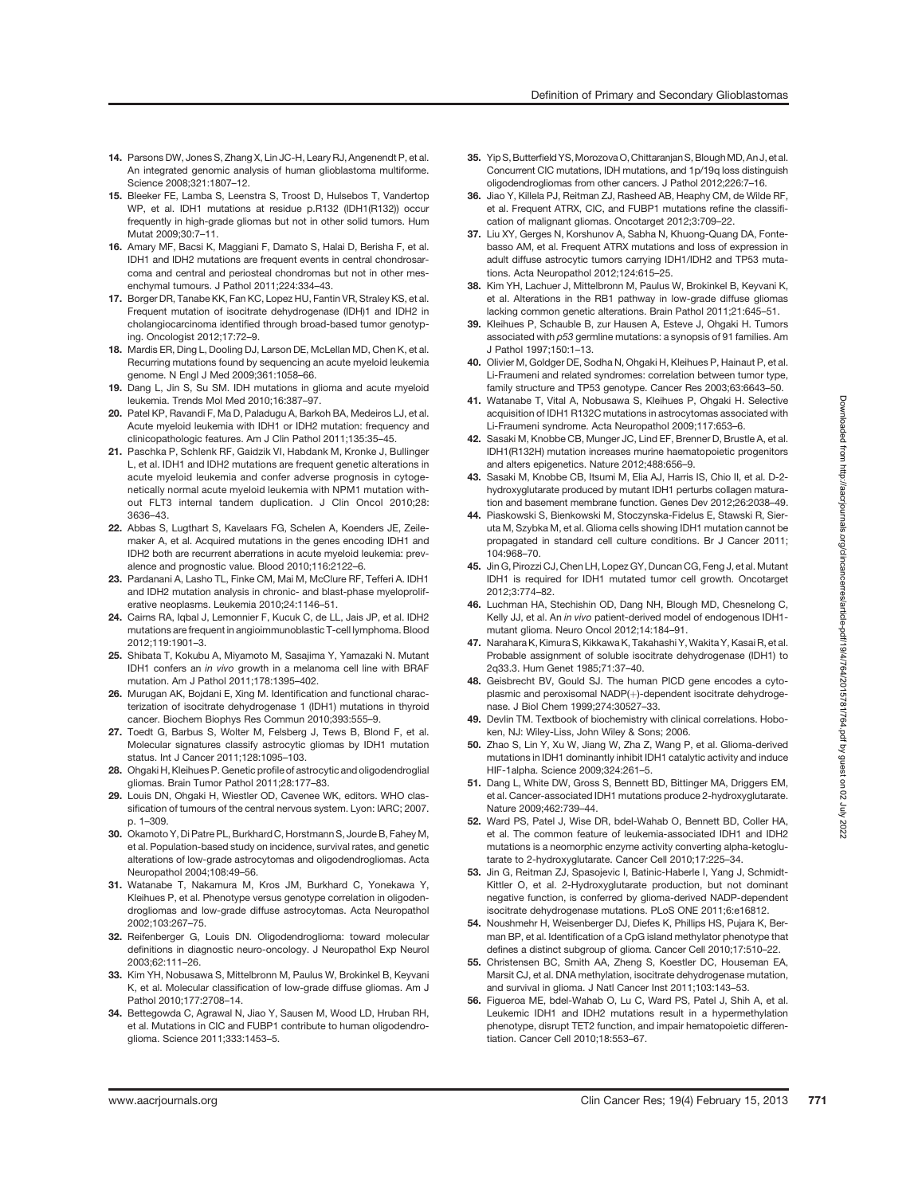- 14. Parsons DW, Jones S, Zhang X, Lin JC-H, Leary RJ, Angenendt P, et al. An integrated genomic analysis of human glioblastoma multiforme. Science 2008;321:1807–12.
- 15. Bleeker FE, Lamba S, Leenstra S, Troost D, Hulsebos T, Vandertop WP, et al. IDH1 mutations at residue p.R132 (IDH1(R132)) occur frequently in high-grade gliomas but not in other solid tumors. Hum Mutat 2009;30:7–11.
- 16. Amary MF, Bacsi K, Maggiani F, Damato S, Halai D, Berisha F, et al. IDH1 and IDH2 mutations are frequent events in central chondrosarcoma and central and periosteal chondromas but not in other mesenchymal tumours. J Pathol 2011;224:334–43.
- 17. Borger DR, Tanabe KK, Fan KC, Lopez HU, Fantin VR, Straley KS, et al. Frequent mutation of isocitrate dehydrogenase (IDH)1 and IDH2 in cholangiocarcinoma identified through broad-based tumor genotyping. Oncologist 2012;17:72–9.
- 18. Mardis ER, Ding L, Dooling DJ, Larson DE, McLellan MD, Chen K, et al. Recurring mutations found by sequencing an acute myeloid leukemia genome. N Engl J Med 2009;361:1058–66.
- 19. Dang L, Jin S, Su SM. IDH mutations in glioma and acute myeloid leukemia. Trends Mol Med 2010;16:387–97.
- 20. Patel KP, Ravandi F, Ma D, Paladugu A, Barkoh BA, Medeiros LJ, et al. Acute myeloid leukemia with IDH1 or IDH2 mutation: frequency and clinicopathologic features. Am J Clin Pathol 2011;135:35–45.
- 21. Paschka P, Schlenk RF, Gaidzik VI, Habdank M, Kronke J, Bullinger L, et al. IDH1 and IDH2 mutations are frequent genetic alterations in acute myeloid leukemia and confer adverse prognosis in cytogenetically normal acute myeloid leukemia with NPM1 mutation without FLT3 internal tandem duplication. J Clin Oncol 2010;28: 3636–43.
- 22. Abbas S, Lugthart S, Kavelaars FG, Schelen A, Koenders JE, Zeilemaker A, et al. Acquired mutations in the genes encoding IDH1 and IDH2 both are recurrent aberrations in acute myeloid leukemia: prevalence and prognostic value. Blood 2010;116:2122–6.
- 23. Pardanani A, Lasho TL, Finke CM, Mai M, McClure RF, Tefferi A. IDH1 and IDH2 mutation analysis in chronic- and blast-phase myeloproliferative neoplasms. Leukemia 2010;24:1146–51.
- 24. Cairns RA, Iqbal J, Lemonnier F, Kucuk C, de LL, Jais JP, et al. IDH2 mutations are frequent in angioimmunoblastic T-cell lymphoma. Blood 2012;119:1901–3.
- 25. Shibata T, Kokubu A, Miyamoto M, Sasajima Y, Yamazaki N. Mutant IDH1 confers an in vivo growth in a melanoma cell line with BRAF mutation. Am J Pathol 2011;178:1395–402.
- 26. Murugan AK, Bojdani E, Xing M. Identification and functional characterization of isocitrate dehydrogenase 1 (IDH1) mutations in thyroid cancer. Biochem Biophys Res Commun 2010;393:555–9.
- 27. Toedt G, Barbus S, Wolter M, Felsberg J, Tews B, Blond F, et al. Molecular signatures classify astrocytic gliomas by IDH1 mutation status. Int J Cancer 2011;128:1095–103.
- 28. Ohgaki H, Kleihues P. Genetic profile of astrocytic and oligodendroglial gliomas. Brain Tumor Pathol 2011;28:177–83.
- 29. Louis DN, Ohgaki H, Wiestler OD, Cavenee WK, editors. WHO classification of tumours of the central nervous system. Lyon: IARC; 2007. p. 1–309.
- 30. Okamoto Y, Di Patre PL, Burkhard C, Horstmann S, Jourde B, Fahey M, et al. Population-based study on incidence, survival rates, and genetic alterations of low-grade astrocytomas and oligodendrogliomas. Acta Neuropathol 2004;108:49–56.
- 31. Watanabe T, Nakamura M, Kros JM, Burkhard C, Yonekawa Y, Kleihues P, et al. Phenotype versus genotype correlation in oligodendrogliomas and low-grade diffuse astrocytomas. Acta Neuropathol 2002;103:267–75.
- 32. Reifenberger G, Louis DN. Oligodendroglioma: toward molecular definitions in diagnostic neuro-oncology. J Neuropathol Exp Neurol 2003;62:111–26.
- 33. Kim YH, Nobusawa S, Mittelbronn M, Paulus W, Brokinkel B, Keyvani K, et al. Molecular classification of low-grade diffuse gliomas. Am J Pathol 2010;177:2708–14.
- 34. Bettegowda C, Agrawal N, Jiao Y, Sausen M, Wood LD, Hruban RH, et al. Mutations in CIC and FUBP1 contribute to human oligodendroglioma. Science 2011;333:1453–5.
- 35. Yip S, Butterfield YS, Morozova O, Chittaranian S, Blough MD, An J, et al. Concurrent CIC mutations, IDH mutations, and 1p/19q loss distinguish oligodendrogliomas from other cancers. J Pathol 2012;226:7–16.
- 36. Jiao Y, Killela PJ, Reitman ZJ, Rasheed AB, Heaphy CM, de Wilde RF, et al. Frequent ATRX, CIC, and FUBP1 mutations refine the classification of malignant gliomas. Oncotarget 2012;3:709–22.
- 37. Liu XY, Gerges N, Korshunov A, Sabha N, Khuong-Quang DA, Fontebasso AM, et al. Frequent ATRX mutations and loss of expression in adult diffuse astrocytic tumors carrying IDH1/IDH2 and TP53 mutations. Acta Neuropathol 2012;124:615–25.
- 38. Kim YH, Lachuer J, Mittelbronn M, Paulus W, Brokinkel B, Keyvani K, et al. Alterations in the RB1 pathway in low-grade diffuse gliomas lacking common genetic alterations. Brain Pathol 2011;21:645–51.
- 39. Kleihues P, Schauble B, zur Hausen A, Esteve J, Ohgaki H. Tumors associated with p53 germline mutations: a synopsis of 91 families. Am J Pathol 1997;150:1–13.
- 40. Olivier M, Goldger DE, Sodha N, Ohgaki H, Kleihues P, Hainaut P, et al. Li-Fraumeni and related syndromes: correlation between tumor type, family structure and TP53 genotype. Cancer Res 2003;63:6643–50.
- 41. Watanabe T, Vital A, Nobusawa S, Kleihues P, Ohgaki H. Selective acquisition of IDH1 R132C mutations in astrocytomas associated with Li-Fraumeni syndrome. Acta Neuropathol 2009;117:653–6.
- 42. Sasaki M, Knobbe CB, Munger JC, Lind EF, Brenner D, Brustle A, et al. IDH1(R132H) mutation increases murine haematopoietic progenitors and alters epigenetics. Nature 2012;488:656–9.
- 43. Sasaki M, Knobbe CB, Itsumi M, Elia AJ, Harris IS, Chio II, et al. D-2 hydroxyglutarate produced by mutant IDH1 perturbs collagen maturation and basement membrane function. Genes Dev 2012;26:2038–49.
- 44. Piaskowski S, Bienkowski M, Stoczynska-Fidelus E, Stawski R, Sieruta M, Szybka M, et al. Glioma cells showing IDH1 mutation cannot be propagated in standard cell culture conditions. Br J Cancer 2011; 104:968–70.
- 45. Jin G, Pirozzi CJ, Chen LH, Lopez GY, Duncan CG, Feng J, et al. Mutant IDH1 is required for IDH1 mutated tumor cell growth. Oncotarget 2012;3:774–82.
- 46. Luchman HA, Stechishin OD, Dang NH, Blough MD, Chesnelong C, Kelly JJ, et al. An in vivo patient-derived model of endogenous IDH1mutant glioma. Neuro Oncol 2012;14:184–91.
- 47. Narahara K, Kimura S, Kikkawa K, Takahashi Y, Wakita Y, Kasai R, et al. Probable assignment of soluble isocitrate dehydrogenase (IDH1) to 2q33.3. Hum Genet 1985;71:37–40.
- 48. Geisbrecht BV, Gould SJ. The human PICD gene encodes a cytoplasmic and peroxisomal NADP(+)-dependent isocitrate dehydrogenase. J Biol Chem 1999;274:30527–33.
- 49. Devlin TM. Textbook of biochemistry with clinical correlations. Hoboken, NJ: Wiley-Liss, John Wiley & Sons; 2006.
- 50. Zhao S, Lin Y, Xu W, Jiang W, Zha Z, Wang P, et al. Glioma-derived mutations in IDH1 dominantly inhibit IDH1 catalytic activity and induce HIF-1alpha. Science 2009;324:261–5.
- 51. Dang L, White DW, Gross S, Bennett BD, Bittinger MA, Driggers EM, et al. Cancer-associated IDH1 mutations produce 2-hydroxyglutarate. Nature 2009;462:739–44.
- 52. Ward PS, Patel J, Wise DR, bdel-Wahab O, Bennett BD, Coller HA, et al. The common feature of leukemia-associated IDH1 and IDH2 mutations is a neomorphic enzyme activity converting alpha-ketoglutarate to 2-hydroxyglutarate. Cancer Cell 2010;17:225–34.
- 53. Jin G, Reitman ZJ, Spasojevic I, Batinic-Haberle I, Yang J, Schmidt-Kittler O, et al. 2-Hydroxyglutarate production, but not dominant negative function, is conferred by glioma-derived NADP-dependent isocitrate dehydrogenase mutations. PLoS ONE 2011;6:e16812.
- 54. Noushmehr H, Weisenberger DJ, Diefes K, Phillips HS, Pujara K, Berman BP, et al. Identification of a CpG island methylator phenotype that defines a distinct subgroup of glioma. Cancer Cell 2010;17:510–22.
- 55. Christensen BC, Smith AA, Zheng S, Koestler DC, Houseman EA, Marsit CJ, et al. DNA methylation, isocitrate dehydrogenase mutation, and survival in glioma. J Natl Cancer Inst 2011;103:143–53.
- 56. Figueroa ME, bdel-Wahab O, Lu C, Ward PS, Patel J, Shih A, et al. Leukemic IDH1 and IDH2 mutations result in a hypermethylation phenotype, disrupt TET2 function, and impair hematopoietic differentiation. Cancer Cell 2010;18:553–67.